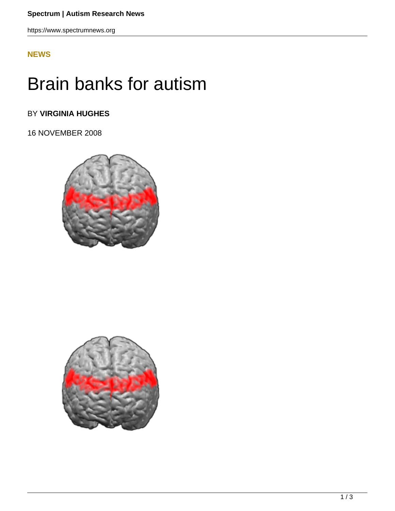https://www.spectrumnews.org

## **[NEWS](HTTPS://WWW.SPECTRUMNEWS.ORG/NEWS/)**

# Brain banks for autism

# BY **VIRGINIA HUGHES**

16 NOVEMBER 2008



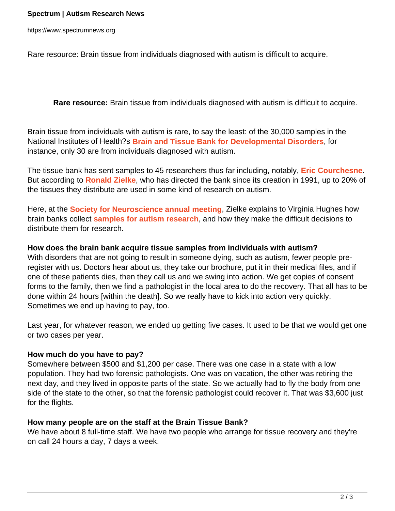https://www.spectrumnews.org

Rare resource: Brain tissue from individuals diagnosed with autism is difficult to acquire.

**Rare resource:** Brain tissue from individuals diagnosed with autism is difficult to acquire.

Brain tissue from individuals with autism is rare, to say the least: of the 30,000 samples in the National Institutes of Health?s **Brain and Tissue Bank for Developmental Disorders**, for instance, only 30 are from individuals diagnosed with autism.

The tissue bank has sent samples to 45 researchers thus far including, notably, **Eric Courchesne**. But according to **Ronald Zielke**, who has directed the bank since its creation in 1991, up to 20% of the tissues they distribute are used in some kind of research on autism.

Here, at the **Society for Neuroscience annual meeting**, Zielke explains to Virginia Hughes how brain banks collect **samples for autism research**, and how they make the difficult decisions to distribute them for research.

### **How does the brain bank acquire tissue samples from individuals with autism?**

With disorders that are not going to result in someone dying, such as autism, fewer people preregister with us. Doctors hear about us, they take our brochure, put it in their medical files, and if one of these patients dies, then they call us and we swing into action. We get copies of consent forms to the family, then we find a pathologist in the local area to do the recovery. That all has to be done within 24 hours [within the death]. So we really have to kick into action very quickly. Sometimes we end up having to pay, too.

Last year, for whatever reason, we ended up getting five cases. It used to be that we would get one or two cases per year.

#### **How much do you have to pay?**

Somewhere between \$500 and \$1,200 per case. There was one case in a state with a low population. They had two forensic pathologists. One was on vacation, the other was retiring the next day, and they lived in opposite parts of the state. So we actually had to fly the body from one side of the state to the other, so that the forensic pathologist could recover it. That was \$3,600 just for the flights.

## **How many people are on the staff at the Brain Tissue Bank?**

We have about 8 full-time staff. We have two people who arrange for tissue recovery and they're on call 24 hours a day, 7 days a week.